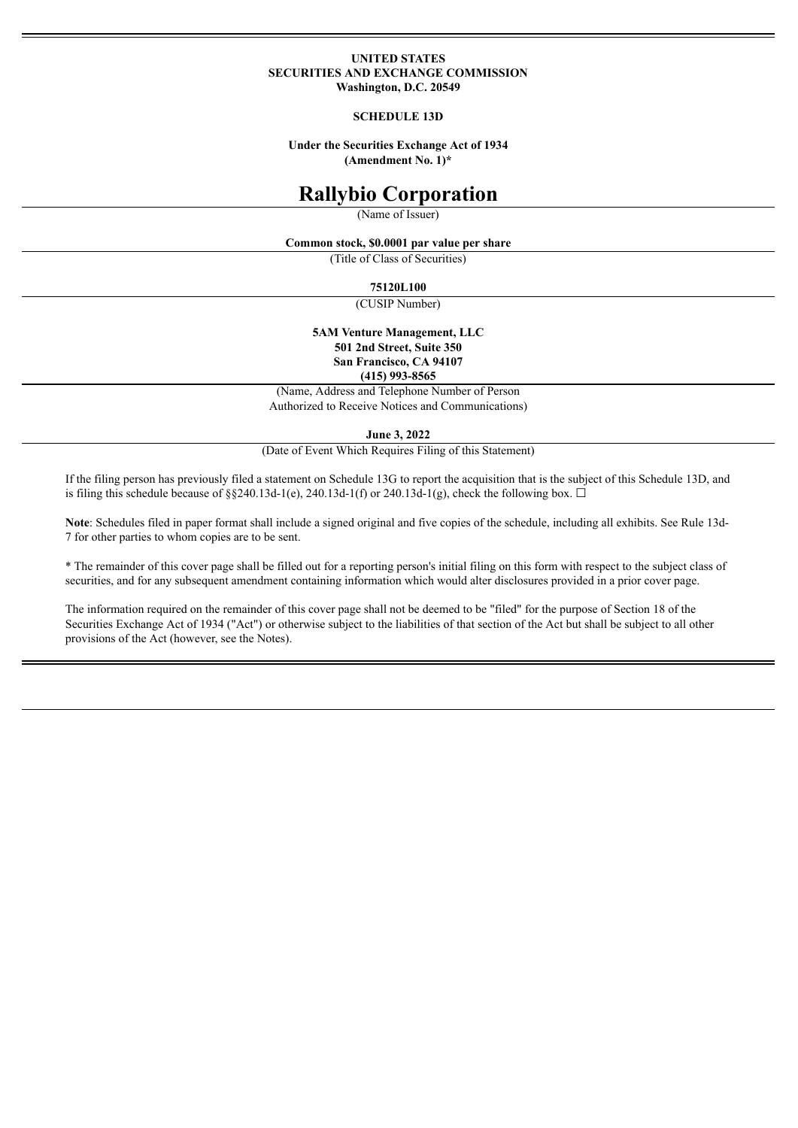#### **UNITED STATES SECURITIES AND EXCHANGE COMMISSION Washington, D.C. 20549**

#### **SCHEDULE 13D**

**Under the Securities Exchange Act of 1934 (Amendment No. 1)\***

# **Rallybio Corporation**

(Name of Issuer)

**Common stock, \$0.0001 par value per share**

(Title of Class of Securities)

**75120L100**

(CUSIP Number)

**5AM Venture Management, LLC 501 2nd Street, Suite 350 San Francisco, CA 94107 (415) 993-8565**

(Name, Address and Telephone Number of Person Authorized to Receive Notices and Communications)

**June 3, 2022**

(Date of Event Which Requires Filing of this Statement)

If the filing person has previously filed a statement on Schedule 13G to report the acquisition that is the subject of this Schedule 13D, and is filing this schedule because of §§240.13d-1(e), 240.13d-1(f) or 240.13d-1(g), check the following box.  $\Box$ 

Note: Schedules filed in paper format shall include a signed original and five copies of the schedule, including all exhibits. See Rule 13d-7 for other parties to whom copies are to be sent.

\* The remainder of this cover page shall be filled out for a reporting person's initial filing on this form with respect to the subject class of securities, and for any subsequent amendment containing information which would alter disclosures provided in a prior cover page.

The information required on the remainder of this cover page shall not be deemed to be "filed" for the purpose of Section 18 of the Securities Exchange Act of 1934 ("Act") or otherwise subject to the liabilities of that section of the Act but shall be subject to all other provisions of the Act (however, see the Notes).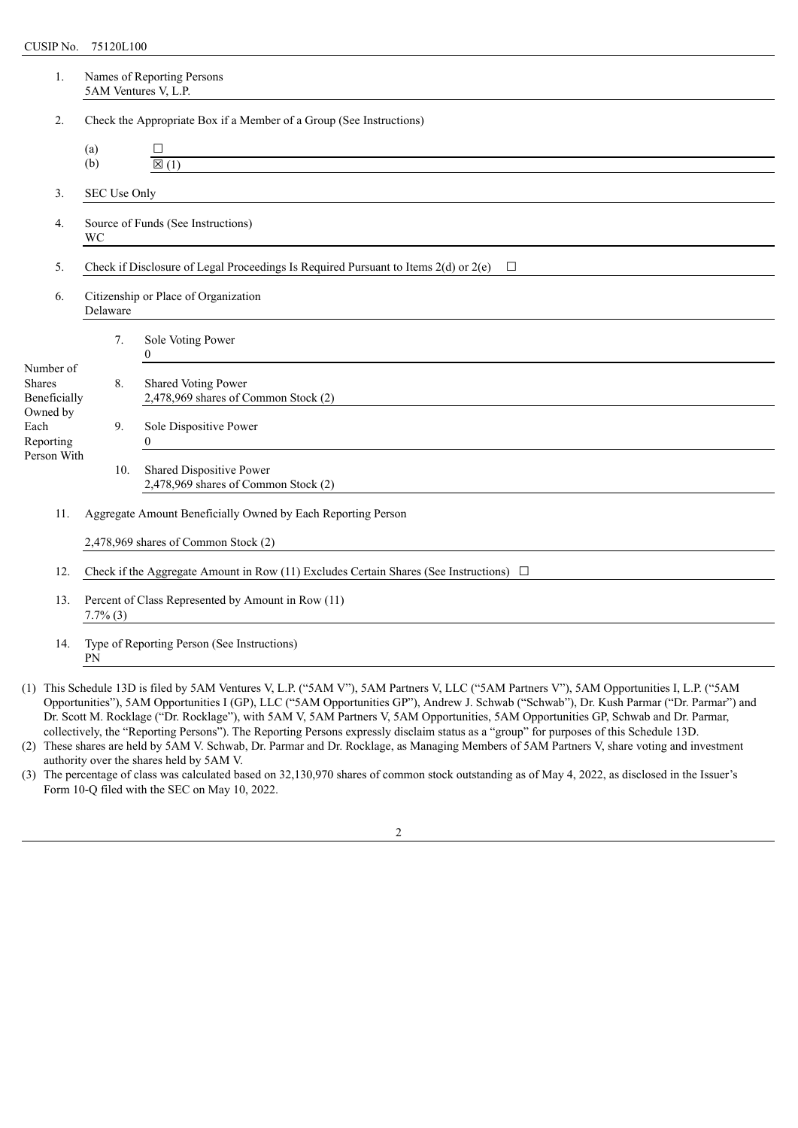| 1.                                                                                                 | Names of Reporting Persons<br>5AM Ventures V, L.P.                  |                                                                                               |  |  |  |  |  |
|----------------------------------------------------------------------------------------------------|---------------------------------------------------------------------|-----------------------------------------------------------------------------------------------|--|--|--|--|--|
| 2.                                                                                                 | Check the Appropriate Box if a Member of a Group (See Instructions) |                                                                                               |  |  |  |  |  |
|                                                                                                    | (a)<br>(b)                                                          | □<br>$\boxtimes$ (1)                                                                          |  |  |  |  |  |
| 3.                                                                                                 | SEC Use Only                                                        |                                                                                               |  |  |  |  |  |
| 4.                                                                                                 | Source of Funds (See Instructions)                                  |                                                                                               |  |  |  |  |  |
| 5.                                                                                                 |                                                                     | Check if Disclosure of Legal Proceedings Is Required Pursuant to Items 2(d) or 2(e)<br>$\Box$ |  |  |  |  |  |
| 6.                                                                                                 | Citizenship or Place of Organization<br>Delaware                    |                                                                                               |  |  |  |  |  |
|                                                                                                    | 7.                                                                  | Sole Voting Power<br>$\overline{0}$<br><u> 1980 - John Stein, Amerikaansk kanton (</u>        |  |  |  |  |  |
| Number of<br><b>Shares</b><br>Beneficially                                                         | 8.                                                                  | Shared Voting Power<br>2,478,969 shares of Common Stock (2)                                   |  |  |  |  |  |
| Owned by<br>Each<br>Reporting                                                                      | 9.                                                                  | Sole Dispositive Power<br>$\Omega$                                                            |  |  |  |  |  |
| Person With                                                                                        | 10.                                                                 | Shared Dispositive Power<br>2,478,969 shares of Common Stock (2)                              |  |  |  |  |  |
| 11.                                                                                                | Aggregate Amount Beneficially Owned by Each Reporting Person        |                                                                                               |  |  |  |  |  |
| 2,478,969 shares of Common Stock (2)                                                               |                                                                     |                                                                                               |  |  |  |  |  |
| Check if the Aggregate Amount in Row (11) Excludes Certain Shares (See Instructions) $\Box$<br>12. |                                                                     |                                                                                               |  |  |  |  |  |
| 13.                                                                                                | Percent of Class Represented by Amount in Row (11)<br>$7.7\%$ (3)   |                                                                                               |  |  |  |  |  |
| 14.                                                                                                | Type of Reporting Person (See Instructions)<br>PN                   |                                                                                               |  |  |  |  |  |
|                                                                                                    |                                                                     |                                                                                               |  |  |  |  |  |

(1) This Schedule 13D is filed by 5AM Ventures V, L.P. ("5AM V"), 5AM Partners V, LLC ("5AM Partners V"), 5AM Opportunities I, L.P. ("5AM Opportunities"), 5AM Opportunities I (GP), LLC ("5AM Opportunities GP"), Andrew J. Schwab ("Schwab"), Dr. Kush Parmar ("Dr. Parmar") and Dr. Scott M. Rocklage ("Dr. Rocklage"), with 5AM V, 5AM Partners V, 5AM Opportunities, 5AM Opportunities GP, Schwab and Dr. Parmar, collectively, the "Reporting Persons"). The Reporting Persons expressly disclaim status as a "group" for purposes of this Schedule 13D.

(2) These shares are held by 5AM V. Schwab, Dr. Parmar and Dr. Rocklage, as Managing Members of 5AM Partners V, share voting and investment authority over the shares held by 5AM V.

(3) The percentage of class was calculated based on 32,130,970 shares of common stock outstanding as of May 4, 2022, as disclosed in the Issuer's Form 10-Q filed with the SEC on May 10, 2022.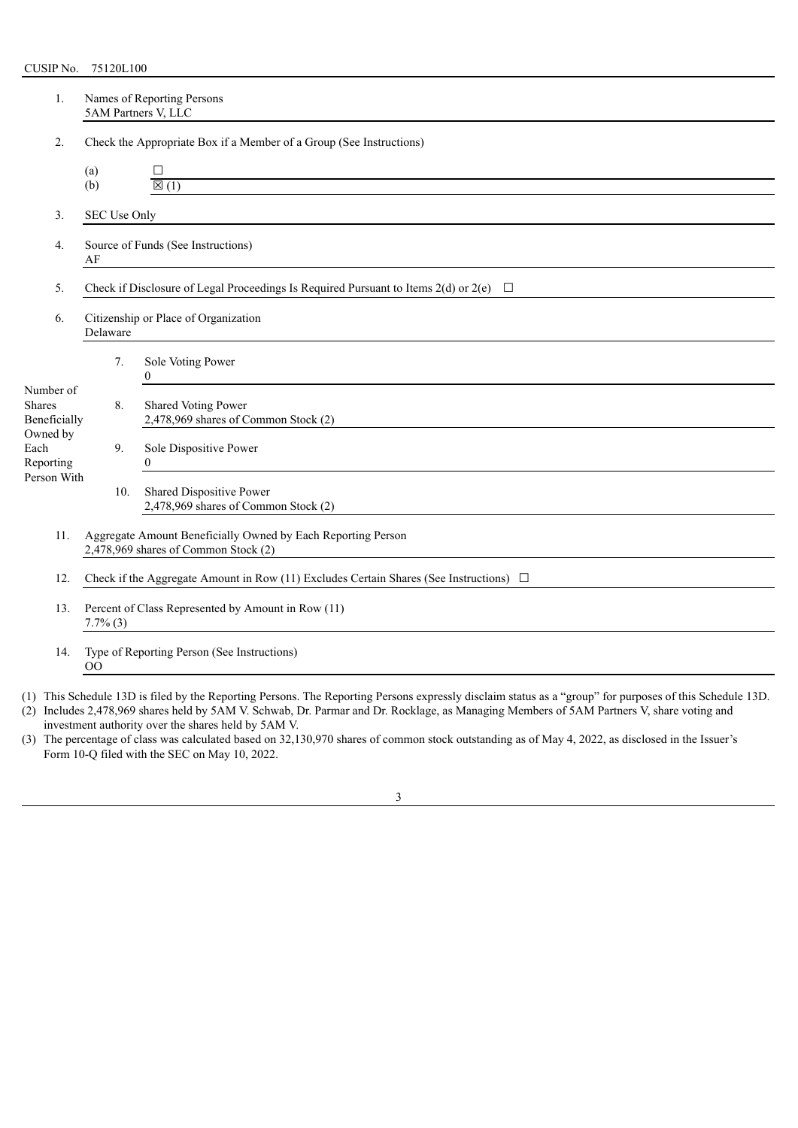| 1.                                         | Names of Reporting Persons<br>5AM Partners V, LLC                                                    |     |                                                                                            |  |  |  |  |
|--------------------------------------------|------------------------------------------------------------------------------------------------------|-----|--------------------------------------------------------------------------------------------|--|--|--|--|
| 2.                                         | Check the Appropriate Box if a Member of a Group (See Instructions)                                  |     |                                                                                            |  |  |  |  |
|                                            | (a)                                                                                                  |     | □                                                                                          |  |  |  |  |
|                                            | (b)                                                                                                  |     | $\overline{\boxtimes(1)}$                                                                  |  |  |  |  |
| 3.                                         | SEC Use Only                                                                                         |     |                                                                                            |  |  |  |  |
| $\overline{4}$ .                           | Source of Funds (See Instructions)<br>AF                                                             |     |                                                                                            |  |  |  |  |
| 5.                                         |                                                                                                      |     | Check if Disclosure of Legal Proceedings Is Required Pursuant to Items 2(d) or 2(e) $\Box$ |  |  |  |  |
| 6.                                         | Citizenship or Place of Organization                                                                 |     |                                                                                            |  |  |  |  |
|                                            |                                                                                                      | 7.  | Sole Voting Power<br>$\Omega$                                                              |  |  |  |  |
| Number of<br><b>Shares</b><br>Beneficially |                                                                                                      | 8.  | Shared Voting Power<br>2,478,969 shares of Common Stock (2)                                |  |  |  |  |
| Owned by<br>Each<br>Reporting              |                                                                                                      | 9.  | Sole Dispositive Power<br>$\theta$                                                         |  |  |  |  |
| Person With                                |                                                                                                      | 10. | Shared Dispositive Power<br>2,478,969 shares of Common Stock (2)                           |  |  |  |  |
| 11.                                        | Aggregate Amount Beneficially Owned by Each Reporting Person<br>2,478,969 shares of Common Stock (2) |     |                                                                                            |  |  |  |  |
| 12.                                        | Check if the Aggregate Amount in Row (11) Excludes Certain Shares (See Instructions) $\Box$          |     |                                                                                            |  |  |  |  |
| 13.                                        | Percent of Class Represented by Amount in Row (11)<br>$7.7\%$ (3)                                    |     |                                                                                            |  |  |  |  |
| 14.                                        | 00                                                                                                   |     | Type of Reporting Person (See Instructions)                                                |  |  |  |  |

(1) This Schedule 13D is filed by the Reporting Persons. The Reporting Persons expressly disclaim status as a "group" for purposes of this Schedule 13D.

| (2) Includes 2,478,969 shares held by 5AM V. Schwab, Dr. Parmar and Dr. Rocklage, as Managing Members of 5AM Partners V, share voting and |
|-------------------------------------------------------------------------------------------------------------------------------------------|
| investment authority over the shares held by 5AM V.                                                                                       |

(3) The percentage of class was calculated based on 32,130,970 shares of common stock outstanding as of May 4, 2022, as disclosed in the Issuer's Form 10-Q filed with the SEC on May 10, 2022.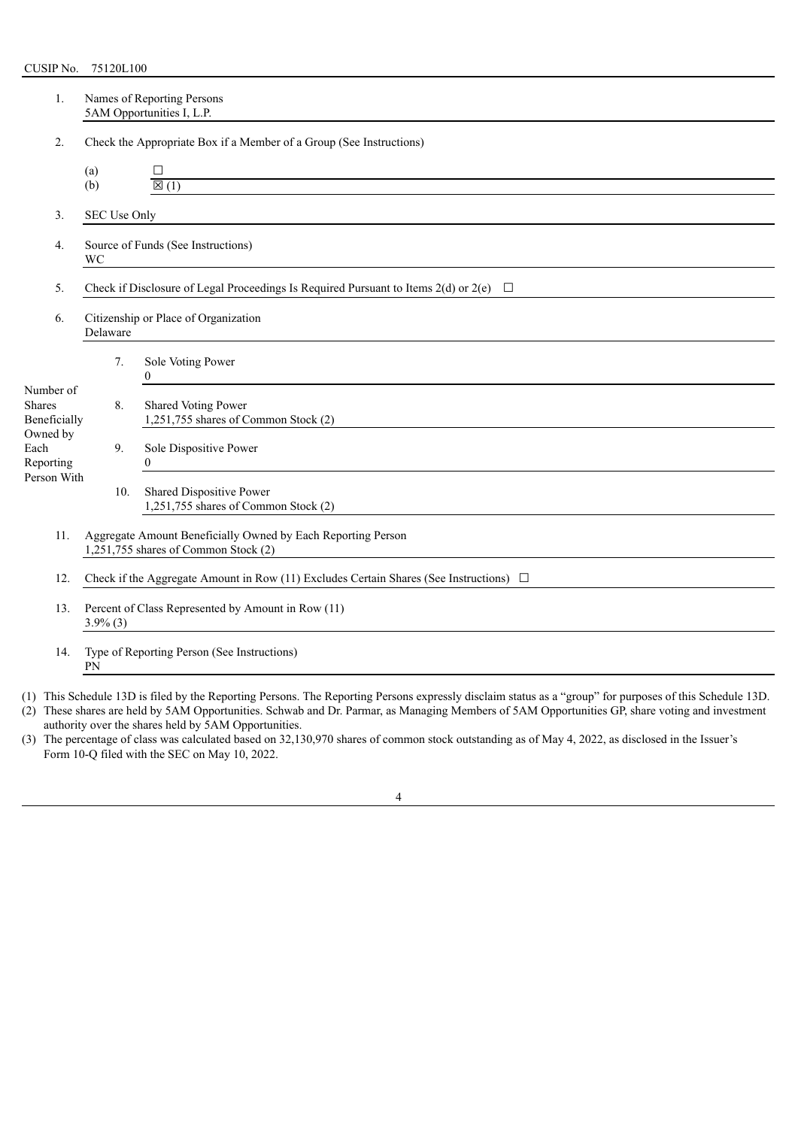| 1.                                                       | Names of Reporting Persons<br>5AM Opportunities I, L.P.                                              |              |                                                                                            |  |  |  |  |
|----------------------------------------------------------|------------------------------------------------------------------------------------------------------|--------------|--------------------------------------------------------------------------------------------|--|--|--|--|
| 2.                                                       | Check the Appropriate Box if a Member of a Group (See Instructions)                                  |              |                                                                                            |  |  |  |  |
|                                                          | (a)<br>(b)                                                                                           |              | □<br>$\overline{\boxtimes}$ (1)                                                            |  |  |  |  |
| 3.                                                       |                                                                                                      | SEC Use Only |                                                                                            |  |  |  |  |
| Source of Funds (See Instructions)<br>4.<br>WC           |                                                                                                      |              | <u> 1989 - John Stein, Amerikaansk politiker (* 1958)</u>                                  |  |  |  |  |
| 5.                                                       |                                                                                                      |              | Check if Disclosure of Legal Proceedings Is Required Pursuant to Items 2(d) or 2(e) $\Box$ |  |  |  |  |
| Citizenship or Place of Organization<br>6.<br>Delaware   |                                                                                                      |              |                                                                                            |  |  |  |  |
|                                                          |                                                                                                      | 7.           | Sole Voting Power<br>$\theta$<br><u> 1989 - Jan Samuel Barbara, margaret e</u>             |  |  |  |  |
| Number of<br><b>Shares</b><br>Beneficially               |                                                                                                      | 8.           | Shared Voting Power<br>1,251,755 shares of Common Stock (2)                                |  |  |  |  |
| Owned by<br>Each<br>Reporting                            |                                                                                                      | 9.           | Sole Dispositive Power<br>$\boldsymbol{0}$                                                 |  |  |  |  |
| Person With                                              |                                                                                                      | 10.          | Shared Dispositive Power<br>1,251,755 shares of Common Stock (2)                           |  |  |  |  |
| 11.                                                      | Aggregate Amount Beneficially Owned by Each Reporting Person<br>1,251,755 shares of Common Stock (2) |              |                                                                                            |  |  |  |  |
| 12.                                                      | Check if the Aggregate Amount in Row (11) Excludes Certain Shares (See Instructions) $\Box$          |              |                                                                                            |  |  |  |  |
| 13.                                                      | Percent of Class Represented by Amount in Row (11)<br>$3.9\%$ (3)                                    |              |                                                                                            |  |  |  |  |
| Type of Reporting Person (See Instructions)<br>14.<br>PN |                                                                                                      |              |                                                                                            |  |  |  |  |

(1) This Schedule 13D is filed by the Reporting Persons. The Reporting Persons expressly disclaim status as a "group" for purposes of this Schedule 13D.

| (2) These shares are held by 5AM Opportunities. Schwab and Dr. Parmar, as Managing Members of 5AM Opportunities GP, share voting and investment |
|-------------------------------------------------------------------------------------------------------------------------------------------------|
| authority over the shares held by 5AM Opportunities.                                                                                            |

(3) The percentage of class was calculated based on 32,130,970 shares of common stock outstanding as of May 4, 2022, as disclosed in the Issuer's Form 10-Q filed with the SEC on May 10, 2022.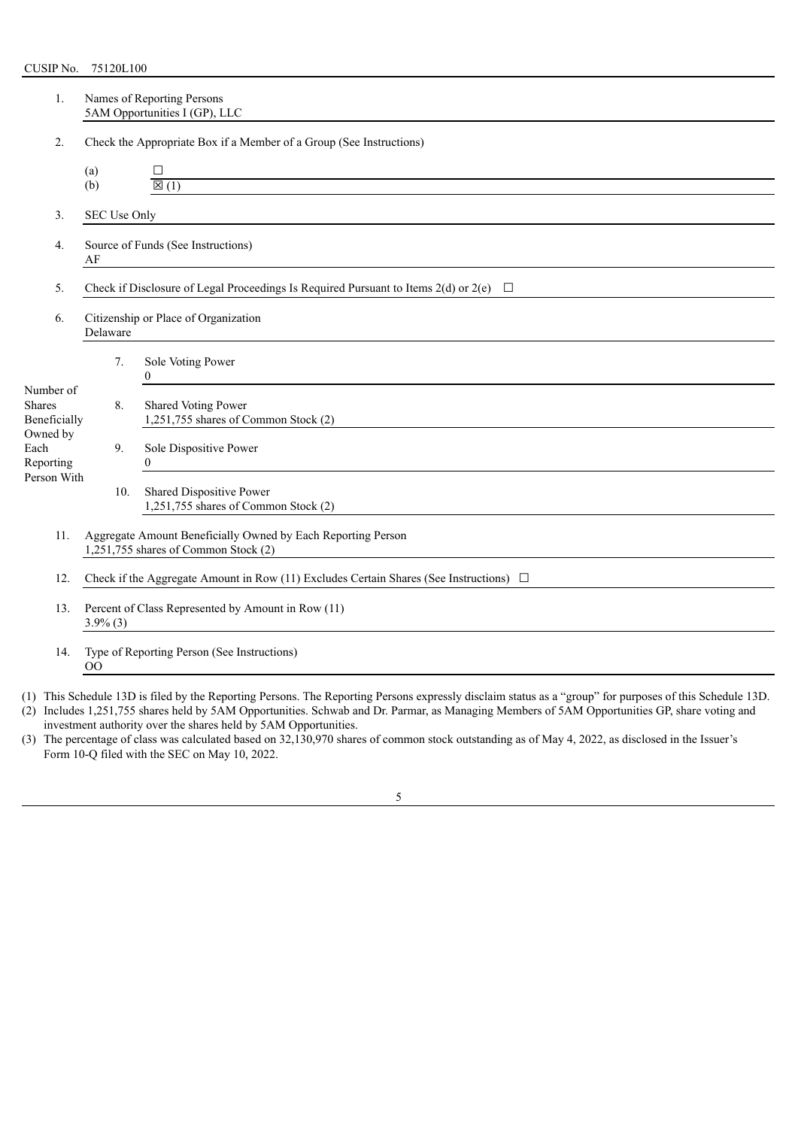| 1.                                                     | Names of Reporting Persons<br>5AM Opportunities I (GP), LLC                                          |              |                                                                                                                                                                    |  |  |
|--------------------------------------------------------|------------------------------------------------------------------------------------------------------|--------------|--------------------------------------------------------------------------------------------------------------------------------------------------------------------|--|--|
| 2.                                                     |                                                                                                      |              | Check the Appropriate Box if a Member of a Group (See Instructions)                                                                                                |  |  |
|                                                        | (a)<br>(b)                                                                                           |              | П<br>$\overline{\boxtimes(1)}$                                                                                                                                     |  |  |
| 3.                                                     |                                                                                                      | SEC Use Only |                                                                                                                                                                    |  |  |
| Source of Funds (See Instructions)<br>4.<br>AF         |                                                                                                      |              | <u> 1989 - Johann Barnett, fransk politiker (d. 1989)</u>                                                                                                          |  |  |
| 5.                                                     |                                                                                                      |              | Check if Disclosure of Legal Proceedings Is Required Pursuant to Items 2(d) or 2(e) $\Box$                                                                         |  |  |
| Citizenship or Place of Organization<br>6.<br>Delaware |                                                                                                      |              |                                                                                                                                                                    |  |  |
|                                                        |                                                                                                      | 7.           | Sole Voting Power<br>$\theta$<br><u> 1980 - Andrea Andrew Maria (b. 1980)</u>                                                                                      |  |  |
| Number of<br><b>Shares</b><br>Beneficially             |                                                                                                      | 8.           | Shared Voting Power<br>1,251,755 shares of Common Stock (2)                                                                                                        |  |  |
| Owned by<br>Each<br>Reporting                          |                                                                                                      | 9.           | Sole Dispositive Power<br>$\boldsymbol{0}$<br><u> 1980 - Jan Samuel Barbara, martin da shekara 1980 - An tsara 1980 - An tsara 1980 - An tsara 1980 - An tsara</u> |  |  |
| Person With                                            |                                                                                                      | 10.          | Shared Dispositive Power<br>1,251,755 shares of Common Stock (2)                                                                                                   |  |  |
| 11.                                                    | Aggregate Amount Beneficially Owned by Each Reporting Person<br>1,251,755 shares of Common Stock (2) |              |                                                                                                                                                                    |  |  |
| 12.                                                    | Check if the Aggregate Amount in Row (11) Excludes Certain Shares (See Instructions) $\Box$          |              |                                                                                                                                                                    |  |  |
| 13.                                                    | Percent of Class Represented by Amount in Row (11)<br>$3.9\%$ (3)                                    |              |                                                                                                                                                                    |  |  |
| 14.                                                    | 00                                                                                                   |              | Type of Reporting Person (See Instructions)                                                                                                                        |  |  |

(1) This Schedule 13D is filed by the Reporting Persons. The Reporting Persons expressly disclaim status as a "group" for purposes of this Schedule 13D.

(2) Includes 1,251,755 shares held by 5AM Opportunities. Schwab and Dr. Parmar, as Managing Members of 5AM Opportunities GP, share voting and investment authority over the shares held by 5AM Opportunities.

(3) The percentage of class was calculated based on 32,130,970 shares of common stock outstanding as of May 4, 2022, as disclosed in the Issuer's Form 10-Q filed with the SEC on May 10, 2022.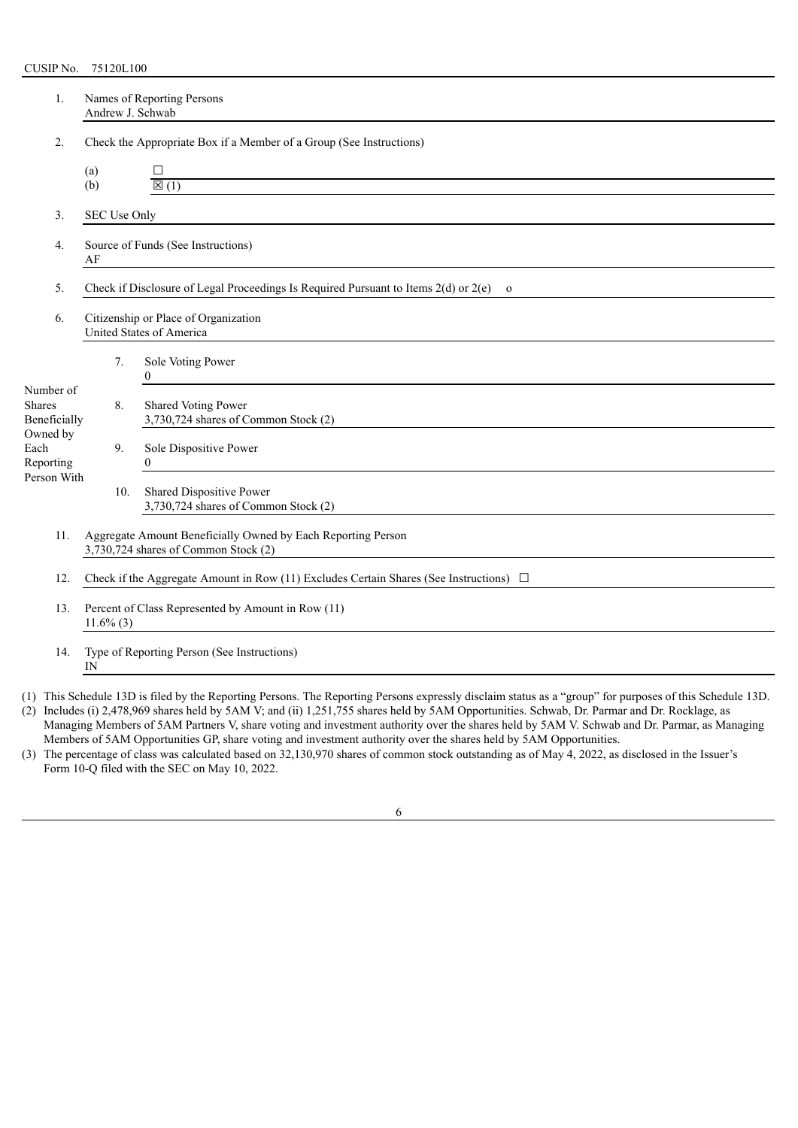| 1.                                                                                                                                    | Names of Reporting Persons<br>Andrew J. Schwab                                                       |     |                                                                                       |  |  |  |  |
|---------------------------------------------------------------------------------------------------------------------------------------|------------------------------------------------------------------------------------------------------|-----|---------------------------------------------------------------------------------------|--|--|--|--|
| 2.                                                                                                                                    | Check the Appropriate Box if a Member of a Group (See Instructions)                                  |     |                                                                                       |  |  |  |  |
|                                                                                                                                       | (a)                                                                                                  |     | □                                                                                     |  |  |  |  |
|                                                                                                                                       | (b)                                                                                                  |     | $\overline{\boxtimes(1)}$                                                             |  |  |  |  |
| 3.                                                                                                                                    | SEC Use Only                                                                                         |     |                                                                                       |  |  |  |  |
| Source of Funds (See Instructions)<br>4.<br>AF                                                                                        |                                                                                                      |     | <u> 1980 - Andrea Andrew Maria (h. 1980).</u>                                         |  |  |  |  |
| 5.                                                                                                                                    |                                                                                                      |     | Check if Disclosure of Legal Proceedings Is Required Pursuant to Items 2(d) or 2(e) o |  |  |  |  |
| 6.                                                                                                                                    | Citizenship or Place of Organization<br>United States of America                                     |     |                                                                                       |  |  |  |  |
|                                                                                                                                       |                                                                                                      | 7.  | Sole Voting Power<br>$\theta$                                                         |  |  |  |  |
| Number of<br><b>Shares</b><br>Beneficially                                                                                            |                                                                                                      | 8.  | Shared Voting Power<br>3,730,724 shares of Common Stock (2)                           |  |  |  |  |
| Owned by<br>Each<br>Reporting                                                                                                         |                                                                                                      | 9.  | Sole Dispositive Power<br>$\theta$                                                    |  |  |  |  |
| Person With                                                                                                                           |                                                                                                      | 10. | Shared Dispositive Power<br>3,730,724 shares of Common Stock (2)                      |  |  |  |  |
| 11.                                                                                                                                   | Aggregate Amount Beneficially Owned by Each Reporting Person<br>3,730,724 shares of Common Stock (2) |     |                                                                                       |  |  |  |  |
| 12.                                                                                                                                   | Check if the Aggregate Amount in Row (11) Excludes Certain Shares (See Instructions) $\Box$          |     |                                                                                       |  |  |  |  |
| Percent of Class Represented by Amount in Row (11)<br>13.<br>$11.6\%$ (3)<br>Type of Reporting Person (See Instructions)<br>14.<br>IN |                                                                                                      |     |                                                                                       |  |  |  |  |
|                                                                                                                                       |                                                                                                      |     |                                                                                       |  |  |  |  |

(1) This Schedule 13D is filed by the Reporting Persons. The Reporting Persons expressly disclaim status as a "group" for purposes of this Schedule 13D.

(2) Includes (i) 2,478,969 shares held by 5AM V; and (ii) 1,251,755 shares held by 5AM Opportunities. Schwab, Dr. Parmar and Dr. Rocklage, as Managing Members of 5AM Partners V, share voting and investment authority over the shares held by 5AM V. Schwab and Dr. Parmar, as Managing Members of 5AM Opportunities GP, share voting and investment authority over the shares held by 5AM Opportunities.

(3) The percentage of class was calculated based on 32,130,970 shares of common stock outstanding as of May 4, 2022, as disclosed in the Issuer's Form 10-Q filed with the SEC on May 10, 2022.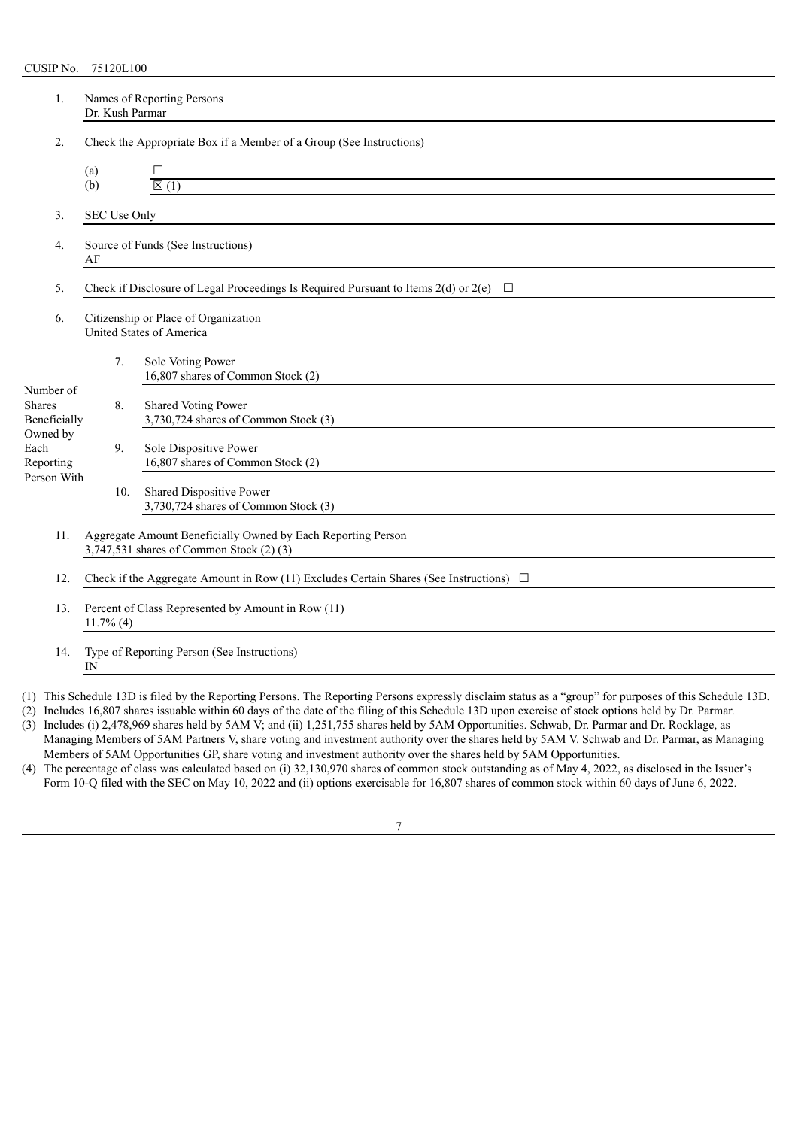| 1.                                         |                                                                                                          | Names of Reporting Persons<br>Dr. Kush Parmar |                                                                                            |  |  |  |  |
|--------------------------------------------|----------------------------------------------------------------------------------------------------------|-----------------------------------------------|--------------------------------------------------------------------------------------------|--|--|--|--|
| 2.                                         |                                                                                                          |                                               | Check the Appropriate Box if a Member of a Group (See Instructions)                        |  |  |  |  |
|                                            | (a)                                                                                                      |                                               | □                                                                                          |  |  |  |  |
|                                            | (b)                                                                                                      |                                               | $\mathbb{Z}(1)$                                                                            |  |  |  |  |
| 3.                                         |                                                                                                          | SEC Use Only                                  |                                                                                            |  |  |  |  |
| 4.                                         | Source of Funds (See Instructions)<br>AF                                                                 |                                               |                                                                                            |  |  |  |  |
| 5.                                         |                                                                                                          |                                               | Check if Disclosure of Legal Proceedings Is Required Pursuant to Items 2(d) or 2(e) $\Box$ |  |  |  |  |
| 6.                                         | Citizenship or Place of Organization<br>United States of America                                         |                                               |                                                                                            |  |  |  |  |
|                                            |                                                                                                          | 7.                                            | Sole Voting Power<br>16,807 shares of Common Stock (2)                                     |  |  |  |  |
| Number of<br><b>Shares</b><br>Beneficially |                                                                                                          | 8.                                            | Shared Voting Power<br>3,730,724 shares of Common Stock (3)                                |  |  |  |  |
| Owned by<br>Each<br>Reporting              |                                                                                                          | 9.                                            | Sole Dispositive Power<br>16,807 shares of Common Stock (2)                                |  |  |  |  |
| Person With                                |                                                                                                          | 10.                                           | Shared Dispositive Power<br>3,730,724 shares of Common Stock (3)                           |  |  |  |  |
| 11.                                        | Aggregate Amount Beneficially Owned by Each Reporting Person<br>3,747,531 shares of Common Stock (2) (3) |                                               |                                                                                            |  |  |  |  |
| 12.                                        | Check if the Aggregate Amount in Row (11) Excludes Certain Shares (See Instructions) $\Box$              |                                               |                                                                                            |  |  |  |  |
| 13.                                        | Percent of Class Represented by Amount in Row (11)<br>$11.7\%$ (4)                                       |                                               |                                                                                            |  |  |  |  |
| 14.                                        | IN                                                                                                       |                                               | Type of Reporting Person (See Instructions)                                                |  |  |  |  |

(1) This Schedule 13D is filed by the Reporting Persons. The Reporting Persons expressly disclaim status as a "group" for purposes of this Schedule 13D.

(2) Includes 16,807 shares issuable within 60 days of the date of the filing of this Schedule 13D upon exercise of stock options held by Dr. Parmar. (3) Includes (i) 2,478,969 shares held by 5AM V; and (ii) 1,251,755 shares held by 5AM Opportunities. Schwab, Dr. Parmar and Dr. Rocklage, as

Managing Members of 5AM Partners V, share voting and investment authority over the shares held by 5AM V. Schwab and Dr. Parmar, as Managing Members of 5AM Opportunities GP, share voting and investment authority over the shares held by 5AM Opportunities.

(4) The percentage of class was calculated based on (i) 32,130,970 shares of common stock outstanding as of May 4, 2022, as disclosed in the Issuer's Form 10-Q filed with the SEC on May 10, 2022 and (ii) options exercisable for 16,807 shares of common stock within 60 days of June 6, 2022.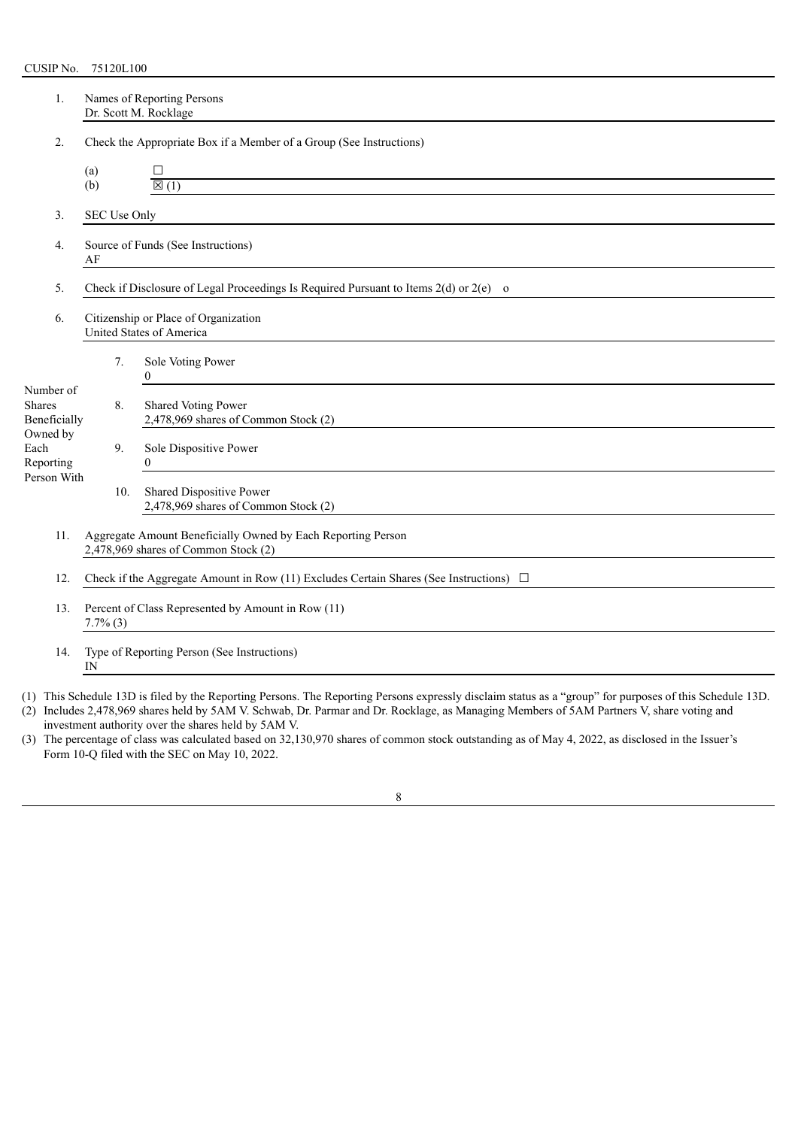| 1.                                                                                                          | Names of Reporting Persons<br>Dr. Scott M. Rocklage                                         |     |                                                                                       |  |  |  |  |  |
|-------------------------------------------------------------------------------------------------------------|---------------------------------------------------------------------------------------------|-----|---------------------------------------------------------------------------------------|--|--|--|--|--|
| 2.                                                                                                          |                                                                                             |     | Check the Appropriate Box if a Member of a Group (See Instructions)                   |  |  |  |  |  |
|                                                                                                             | (a)                                                                                         |     | □                                                                                     |  |  |  |  |  |
|                                                                                                             | (b)                                                                                         |     | $\overline{\boxtimes(1)}$                                                             |  |  |  |  |  |
| 3.                                                                                                          | SEC Use Only                                                                                |     |                                                                                       |  |  |  |  |  |
| Source of Funds (See Instructions)<br>$\overline{4}$ .<br>AF                                                |                                                                                             |     |                                                                                       |  |  |  |  |  |
| 5.                                                                                                          |                                                                                             |     | Check if Disclosure of Legal Proceedings Is Required Pursuant to Items 2(d) or 2(e) o |  |  |  |  |  |
| Citizenship or Place of Organization<br>6.<br>United States of America                                      |                                                                                             |     |                                                                                       |  |  |  |  |  |
|                                                                                                             |                                                                                             | 7.  | Sole Voting Power<br>$\Omega$                                                         |  |  |  |  |  |
| Number of<br><b>Shares</b><br>Beneficially                                                                  |                                                                                             | 8.  | Shared Voting Power<br>2,478,969 shares of Common Stock (2)                           |  |  |  |  |  |
| Owned by<br>Each<br>Reporting                                                                               |                                                                                             | 9.  | Sole Dispositive Power<br>$\theta$                                                    |  |  |  |  |  |
| Person With                                                                                                 |                                                                                             | 10. | Shared Dispositive Power<br>2,478,969 shares of Common Stock (2)                      |  |  |  |  |  |
| Aggregate Amount Beneficially Owned by Each Reporting Person<br>11.<br>2,478,969 shares of Common Stock (2) |                                                                                             |     |                                                                                       |  |  |  |  |  |
| 12.                                                                                                         | Check if the Aggregate Amount in Row (11) Excludes Certain Shares (See Instructions) $\Box$ |     |                                                                                       |  |  |  |  |  |
| 13.                                                                                                         | Percent of Class Represented by Amount in Row (11)<br>$7.7\%$ (3)                           |     |                                                                                       |  |  |  |  |  |
| Type of Reporting Person (See Instructions)<br>14.<br>IN                                                    |                                                                                             |     |                                                                                       |  |  |  |  |  |

(1) This Schedule 13D is filed by the Reporting Persons. The Reporting Persons expressly disclaim status as a "group" for purposes of this Schedule 13D.

| (2) Includes 2,478,969 shares held by 5AM V. Schwab, Dr. Parmar and Dr. Rocklage, as Managing Members of 5AM Partners V, share voting and |
|-------------------------------------------------------------------------------------------------------------------------------------------|
| investment authority over the shares held by 5AM V.                                                                                       |

(3) The percentage of class was calculated based on 32,130,970 shares of common stock outstanding as of May 4, 2022, as disclosed in the Issuer's Form 10-Q filed with the SEC on May 10, 2022.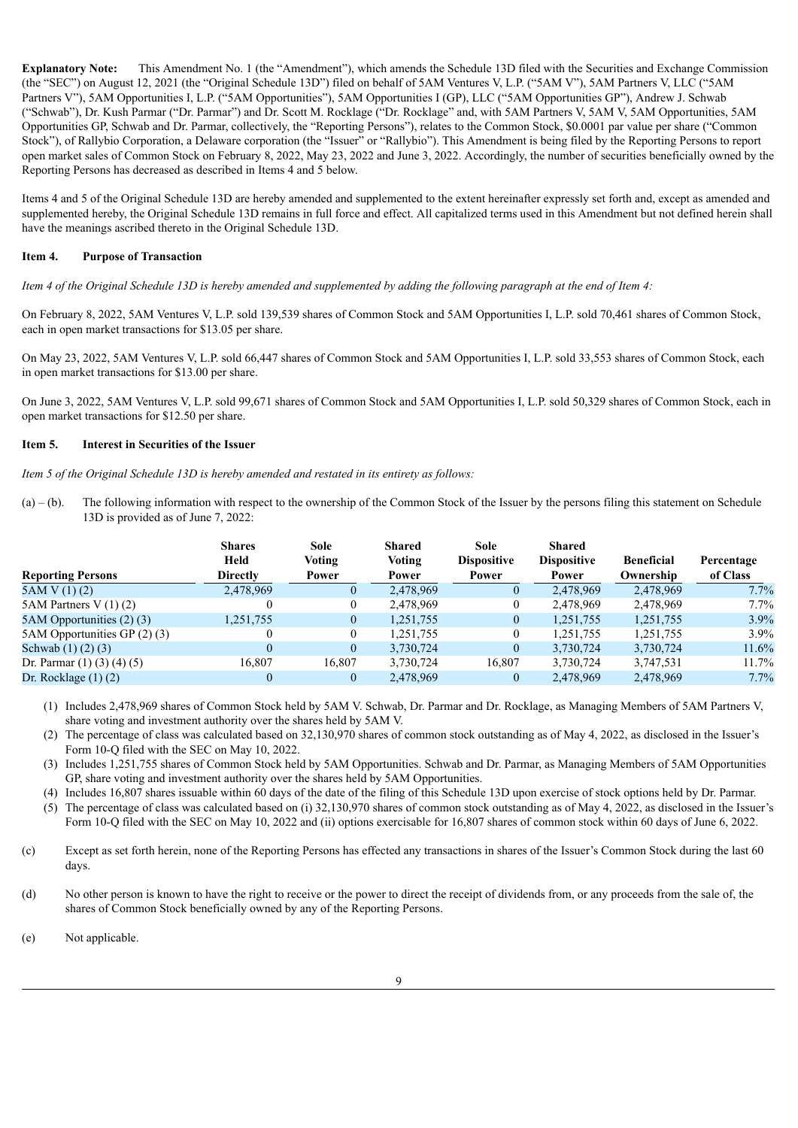**Explanatory Note:** This Amendment No. 1 (the "Amendment"), which amends the Schedule 13D filed with the Securities and Exchange Commission (the "SEC") on August 12, 2021 (the "Original Schedule 13D") filed on behalf of 5AM Ventures V, L.P. ("5AM V"), 5AM Partners V, LLC ("5AM Partners V"), 5AM Opportunities I, L.P. ("5AM Opportunities"), 5AM Opportunities I (GP), LLC ("5AM Opportunities GP"), Andrew J. Schwab ("Schwab"), Dr. Kush Parmar ("Dr. Parmar") and Dr. Scott M. Rocklage ("Dr. Rocklage" and, with 5AM Partners V, 5AM V, 5AM Opportunities, 5AM Opportunities GP, Schwab and Dr. Parmar, collectively, the "Reporting Persons"), relates to the Common Stock, \$0.0001 par value per share ("Common Stock"), of Rallybio Corporation, a Delaware corporation (the "Issuer" or "Rallybio"). This Amendment is being filed by the Reporting Persons to report open market sales of Common Stock on February 8, 2022, May 23, 2022 and June 3, 2022. Accordingly, the number of securities beneficially owned by the Reporting Persons has decreased as described in Items 4 and 5 below.

Items 4 and 5 of the Original Schedule 13D are hereby amended and supplemented to the extent hereinafter expressly set forth and, except as amended and supplemented hereby, the Original Schedule 13D remains in full force and effect. All capitalized terms used in this Amendment but not defined herein shall have the meanings ascribed thereto in the Original Schedule 13D.

#### **Item 4. Purpose of Transaction**

Item 4 of the Original Schedule 13D is hereby amended and supplemented by adding the following paragraph at the end of Item 4:

On February 8, 2022, 5AM Ventures V, L.P. sold 139,539 shares of Common Stock and 5AM Opportunities I, L.P. sold 70,461 shares of Common Stock, each in open market transactions for \$13.05 per share.

On May 23, 2022, 5AM Ventures V, L.P. sold 66,447 shares of Common Stock and 5AM Opportunities I, L.P. sold 33,553 shares of Common Stock, each in open market transactions for \$13.00 per share.

On June 3, 2022, 5AM Ventures V, L.P. sold 99,671 shares of Common Stock and 5AM Opportunities I, L.P. sold 50,329 shares of Common Stock, each in open market transactions for \$12.50 per share.

#### **Item 5. Interest in Securities of the Issuer**

*Item 5 of the Original Schedule 13D is hereby amended and restated in its entirety as follows:*

(a) – (b). The following information with respect to the ownership of the Common Stock of the Issuer by the persons filing this statement on Schedule 13D is provided as of June 7, 2022:

|                                    | <b>Shares</b>   | Sole           | <b>Sole</b><br><b>Shared</b> |                    | <b>Shared</b>      |                   |            |  |
|------------------------------------|-----------------|----------------|------------------------------|--------------------|--------------------|-------------------|------------|--|
|                                    | Held            | Voting         | Voting                       | <b>Dispositive</b> | <b>Dispositive</b> | <b>Beneficial</b> | Percentage |  |
| <b>Reporting Persons</b>           | <b>Directly</b> | Power          | Power                        | Power              | Power              | Ownership         | of Class   |  |
| 5AMV(1)(2)                         | 2,478,969       | $\theta$       | 2,478,969                    |                    | 2,478,969          | 2,478,969         | 7.7%       |  |
| 5AM Partners V $(1)(2)$            |                 | $\theta$       | 2,478,969                    |                    | 2,478,969          | 2,478,969         | $7.7\%$    |  |
| 5AM Opportunities (2) (3)          | 1,251,755       | $\theta$       | 1,251,755                    | $\Omega$           | 1,251,755          | 1,251,755         | 3.9%       |  |
| 5AM Opportunities GP (2) (3)       | 0               | $\theta$       | 1,251,755                    |                    | 1,251,755          | 1,251,755         | $3.9\%$    |  |
| Schwab $(1)$ $(2)$ $(3)$           | $\theta$        | $\theta$       | 3,730,724                    |                    | 3,730,724          | 3,730,724         | 11.6%      |  |
| Dr. Parmar $(1)$ $(3)$ $(4)$ $(5)$ | 16,807          | 16,807         | 3,730,724                    | 16,807             | 3,730,724          | 3,747,531         | $11.7\%$   |  |
| Dr. Rocklage $(1)$ $(2)$           | 0               | $\overline{0}$ | 2,478,969                    |                    | 2,478,969          | 2,478,969         | 7.7%       |  |

(1) Includes 2,478,969 shares of Common Stock held by 5AM V. Schwab, Dr. Parmar and Dr. Rocklage, as Managing Members of 5AM Partners V, share voting and investment authority over the shares held by 5AM V.

(2) The percentage of class was calculated based on 32,130,970 shares of common stock outstanding as of May 4, 2022, as disclosed in the Issuer's Form 10-Q filed with the SEC on May 10, 2022.

(3) Includes 1,251,755 shares of Common Stock held by 5AM Opportunities. Schwab and Dr. Parmar, as Managing Members of 5AM Opportunities GP, share voting and investment authority over the shares held by 5AM Opportunities.

(4) Includes 16,807 shares issuable within 60 days of the date of the filing of this Schedule 13D upon exercise of stock options held by Dr. Parmar.

(5) The percentage of class was calculated based on (i) 32,130,970 shares of common stock outstanding as of May 4, 2022, as disclosed in the Issuer's Form 10-Q filed with the SEC on May 10, 2022 and (ii) options exercisable for 16,807 shares of common stock within 60 days of June 6, 2022.

- (c) Except as set forth herein, none of the Reporting Persons has effected any transactions in shares of the Issuer's Common Stock during the last 60 days.
- (d) No other person is known to have the right to receive or the power to direct the receipt of dividends from, or any proceeds from the sale of, the shares of Common Stock beneficially owned by any of the Reporting Persons.
- (e) Not applicable.